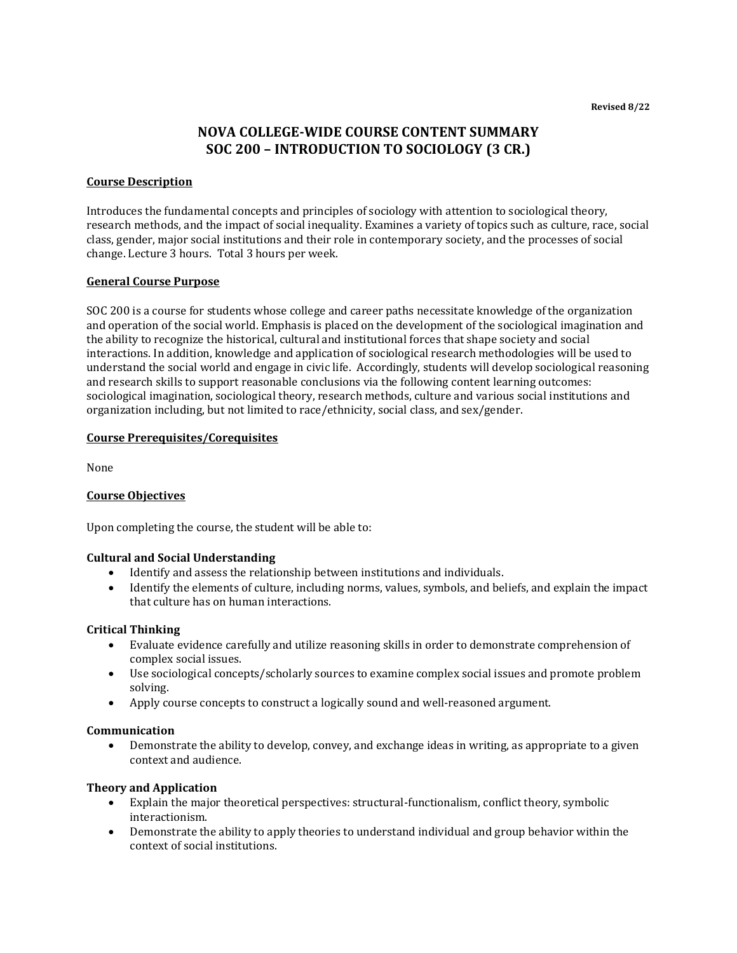**Revised 8/22**

# **NOVA COLLEGE-WIDE COURSE CONTENT SUMMARY SOC 200 – INTRODUCTION TO SOCIOLOGY (3 CR.)**

## **Course Description**

Introduces the fundamental concepts and principles of sociology with attention to sociological theory, research methods, and the impact of social inequality. Examines a variety of topics such as culture, race, social class, gender, major social institutions and their role in contemporary society, and the processes of social change. Lecture 3 hours. Total 3 hours per week.

#### **General Course Purpose**

SOC 200 is a course for students whose college and career paths necessitate knowledge of the organization and operation of the social world. Emphasis is placed on the development of the sociological imagination and the ability to recognize the historical, cultural and institutional forces that shape society and social interactions. In addition, knowledge and application of sociological research methodologies will be used to understand the social world and engage in civic life. Accordingly, students will develop sociological reasoning and research skills to support reasonable conclusions via the following content learning outcomes: sociological imagination, sociological theory, research methods, culture and various social institutions and organization including, but not limited to race/ethnicity, social class, and sex/gender.

#### **Course Prerequisites/Corequisites**

None

#### **Course Objectives**

Upon completing the course, the student will be able to:

#### **Cultural and Social Understanding**

- Identify and assess the relationship between institutions and individuals.
- Identify the elements of culture, including norms, values, symbols, and beliefs, and explain the impact that culture has on human interactions.

#### **Critical Thinking**

- Evaluate evidence carefully and utilize reasoning skills in order to demonstrate comprehension of complex social issues.
- Use sociological concepts/scholarly sources to examine complex social issues and promote problem solving.
- Apply course concepts to construct a logically sound and well-reasoned argument.

#### **Communication**

• Demonstrate the ability to develop, convey, and exchange ideas in writing, as appropriate to a given context and audience.

## **Theory and Application**

- Explain the major theoretical perspectives: structural-functionalism, conflict theory, symbolic interactionism.
- Demonstrate the ability to apply theories to understand individual and group behavior within the context of social institutions.